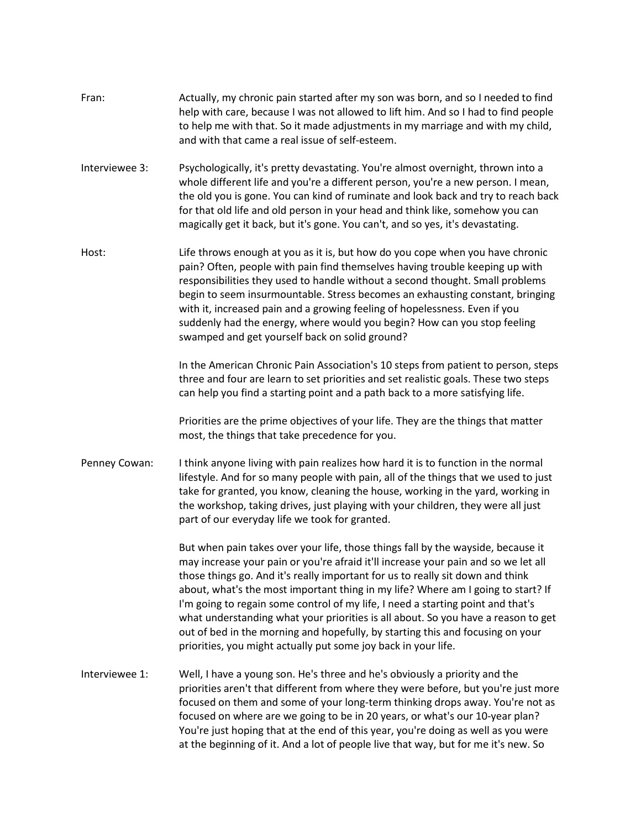- Fran: Actually, my chronic pain started after my son was born, and so I needed to find help with care, because I was not allowed to lift him. And so I had to find people to help me with that. So it made adjustments in my marriage and with my child, and with that came a real issue of self-esteem.
- Interviewee 3: Psychologically, it's pretty devastating. You're almost overnight, thrown into a whole different life and you're a different person, you're a new person. I mean, the old you is gone. You can kind of ruminate and look back and try to reach back for that old life and old person in your head and think like, somehow you can magically get it back, but it's gone. You can't, and so yes, it's devastating.
- Host: Life throws enough at you as it is, but how do you cope when you have chronic pain? Often, people with pain find themselves having trouble keeping up with responsibilities they used to handle without a second thought. Small problems begin to seem insurmountable. Stress becomes an exhausting constant, bringing with it, increased pain and a growing feeling of hopelessness. Even if you suddenly had the energy, where would you begin? How can you stop feeling swamped and get yourself back on solid ground?

In the American Chronic Pain Association's 10 steps from patient to person, steps three and four are learn to set priorities and set realistic goals. These two steps can help you find a starting point and a path back to a more satisfying life.

Priorities are the prime objectives of your life. They are the things that matter most, the things that take precedence for you.

Penney Cowan: I think anyone living with pain realizes how hard it is to function in the normal lifestyle. And for so many people with pain, all of the things that we used to just take for granted, you know, cleaning the house, working in the yard, working in the workshop, taking drives, just playing with your children, they were all just part of our everyday life we took for granted.

> But when pain takes over your life, those things fall by the wayside, because it may increase your pain or you're afraid it'll increase your pain and so we let all those things go. And it's really important for us to really sit down and think about, what's the most important thing in my life? Where am I going to start? If I'm going to regain some control of my life, I need a starting point and that's what understanding what your priorities is all about. So you have a reason to get out of bed in the morning and hopefully, by starting this and focusing on your priorities, you might actually put some joy back in your life.

Interviewee 1: Well, I have a young son. He's three and he's obviously a priority and the priorities aren't that different from where they were before, but you're just more focused on them and some of your long-term thinking drops away. You're not as focused on where are we going to be in 20 years, or what's our 10-year plan? You're just hoping that at the end of this year, you're doing as well as you were at the beginning of it. And a lot of people live that way, but for me it's new. So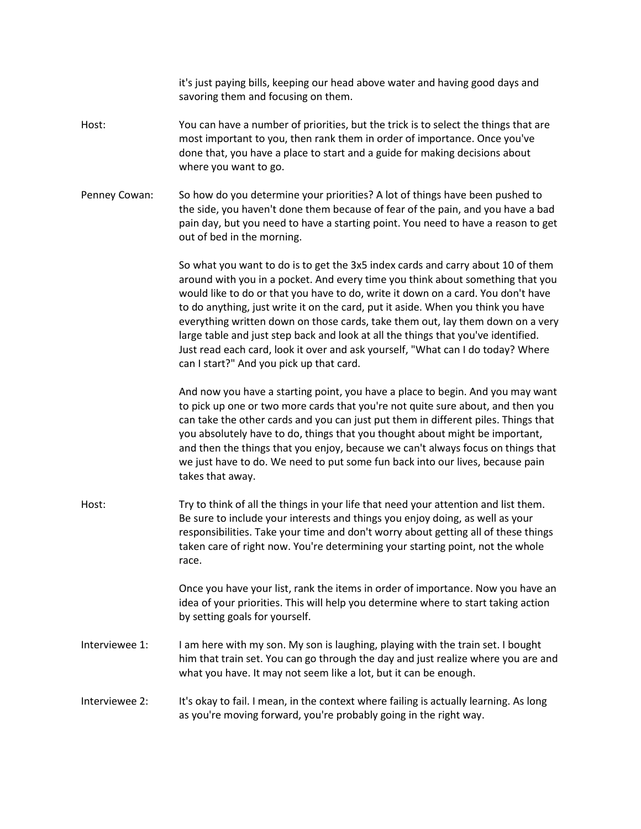it's just paying bills, keeping our head above water and having good days and savoring them and focusing on them.

- Host: You can have a number of priorities, but the trick is to select the things that are most important to you, then rank them in order of importance. Once you've done that, you have a place to start and a guide for making decisions about where you want to go.
- Penney Cowan: So how do you determine your priorities? A lot of things have been pushed to the side, you haven't done them because of fear of the pain, and you have a bad pain day, but you need to have a starting point. You need to have a reason to get out of bed in the morning.

So what you want to do is to get the 3x5 index cards and carry about 10 of them around with you in a pocket. And every time you think about something that you would like to do or that you have to do, write it down on a card. You don't have to do anything, just write it on the card, put it aside. When you think you have everything written down on those cards, take them out, lay them down on a very large table and just step back and look at all the things that you've identified. Just read each card, look it over and ask yourself, "What can I do today? Where can I start?" And you pick up that card.

And now you have a starting point, you have a place to begin. And you may want to pick up one or two more cards that you're not quite sure about, and then you can take the other cards and you can just put them in different piles. Things that you absolutely have to do, things that you thought about might be important, and then the things that you enjoy, because we can't always focus on things that we just have to do. We need to put some fun back into our lives, because pain takes that away.

Host: Try to think of all the things in your life that need your attention and list them. Be sure to include your interests and things you enjoy doing, as well as your responsibilities. Take your time and don't worry about getting all of these things taken care of right now. You're determining your starting point, not the whole race.

> Once you have your list, rank the items in order of importance. Now you have an idea of your priorities. This will help you determine where to start taking action by setting goals for yourself.

- Interviewee 1: I am here with my son. My son is laughing, playing with the train set. I bought him that train set. You can go through the day and just realize where you are and what you have. It may not seem like a lot, but it can be enough.
- Interviewee 2: It's okay to fail. I mean, in the context where failing is actually learning. As long as you're moving forward, you're probably going in the right way.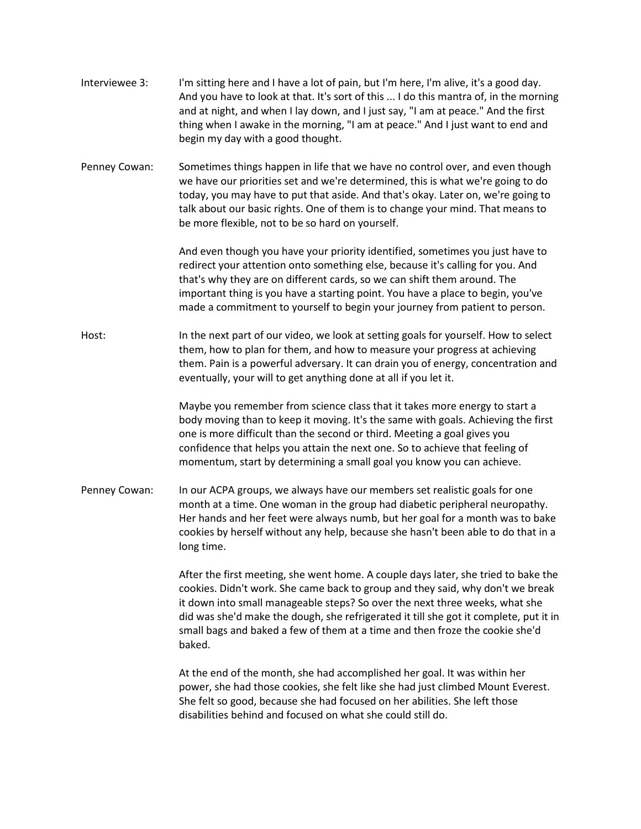| Interviewee 3: | I'm sitting here and I have a lot of pain, but I'm here, I'm alive, it's a good day. |
|----------------|--------------------------------------------------------------------------------------|
|                | And you have to look at that. It's sort of this  I do this mantra of, in the morning |
|                | and at night, and when I lay down, and I just say, "I am at peace." And the first    |
|                | thing when I awake in the morning, "I am at peace." And I just want to end and       |
|                | begin my day with a good thought.                                                    |

Penney Cowan: Sometimes things happen in life that we have no control over, and even though we have our priorities set and we're determined, this is what we're going to do today, you may have to put that aside. And that's okay. Later on, we're going to talk about our basic rights. One of them is to change your mind. That means to be more flexible, not to be so hard on yourself.

> And even though you have your priority identified, sometimes you just have to redirect your attention onto something else, because it's calling for you. And that's why they are on different cards, so we can shift them around. The important thing is you have a starting point. You have a place to begin, you've made a commitment to yourself to begin your journey from patient to person.

Host: In the next part of our video, we look at setting goals for yourself. How to select them, how to plan for them, and how to measure your progress at achieving them. Pain is a powerful adversary. It can drain you of energy, concentration and eventually, your will to get anything done at all if you let it.

> Maybe you remember from science class that it takes more energy to start a body moving than to keep it moving. It's the same with goals. Achieving the first one is more difficult than the second or third. Meeting a goal gives you confidence that helps you attain the next one. So to achieve that feeling of momentum, start by determining a small goal you know you can achieve.

Penney Cowan: In our ACPA groups, we always have our members set realistic goals for one month at a time. One woman in the group had diabetic peripheral neuropathy. Her hands and her feet were always numb, but her goal for a month was to bake cookies by herself without any help, because she hasn't been able to do that in a long time.

> After the first meeting, she went home. A couple days later, she tried to bake the cookies. Didn't work. She came back to group and they said, why don't we break it down into small manageable steps? So over the next three weeks, what she did was she'd make the dough, she refrigerated it till she got it complete, put it in small bags and baked a few of them at a time and then froze the cookie she'd baked.

At the end of the month, she had accomplished her goal. It was within her power, she had those cookies, she felt like she had just climbed Mount Everest. She felt so good, because she had focused on her abilities. She left those disabilities behind and focused on what she could still do.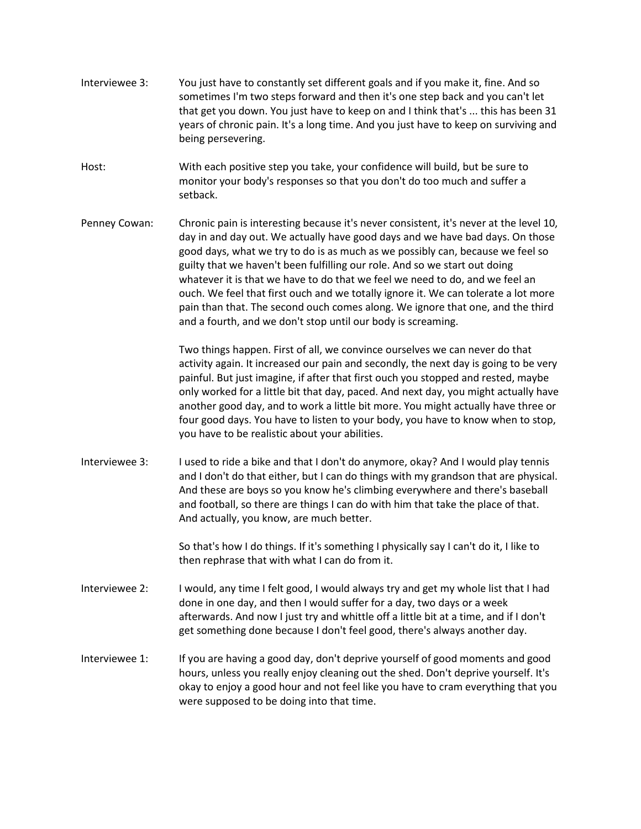- Interviewee 3: You just have to constantly set different goals and if you make it, fine. And so sometimes I'm two steps forward and then it's one step back and you can't let that get you down. You just have to keep on and I think that's ... this has been 31 years of chronic pain. It's a long time. And you just have to keep on surviving and being persevering.
- Host: With each positive step you take, your confidence will build, but be sure to monitor your body's responses so that you don't do too much and suffer a setback.
- Penney Cowan: Chronic pain is interesting because it's never consistent, it's never at the level 10, day in and day out. We actually have good days and we have bad days. On those good days, what we try to do is as much as we possibly can, because we feel so guilty that we haven't been fulfilling our role. And so we start out doing whatever it is that we have to do that we feel we need to do, and we feel an ouch. We feel that first ouch and we totally ignore it. We can tolerate a lot more pain than that. The second ouch comes along. We ignore that one, and the third and a fourth, and we don't stop until our body is screaming.

Two things happen. First of all, we convince ourselves we can never do that activity again. It increased our pain and secondly, the next day is going to be very painful. But just imagine, if after that first ouch you stopped and rested, maybe only worked for a little bit that day, paced. And next day, you might actually have another good day, and to work a little bit more. You might actually have three or four good days. You have to listen to your body, you have to know when to stop, you have to be realistic about your abilities.

Interviewee 3: I used to ride a bike and that I don't do anymore, okay? And I would play tennis and I don't do that either, but I can do things with my grandson that are physical. And these are boys so you know he's climbing everywhere and there's baseball and football, so there are things I can do with him that take the place of that. And actually, you know, are much better.

> So that's how I do things. If it's something I physically say I can't do it, I like to then rephrase that with what I can do from it.

- Interviewee 2: I would, any time I felt good, I would always try and get my whole list that I had done in one day, and then I would suffer for a day, two days or a week afterwards. And now I just try and whittle off a little bit at a time, and if I don't get something done because I don't feel good, there's always another day.
- Interviewee 1: If you are having a good day, don't deprive yourself of good moments and good hours, unless you really enjoy cleaning out the shed. Don't deprive yourself. It's okay to enjoy a good hour and not feel like you have to cram everything that you were supposed to be doing into that time.